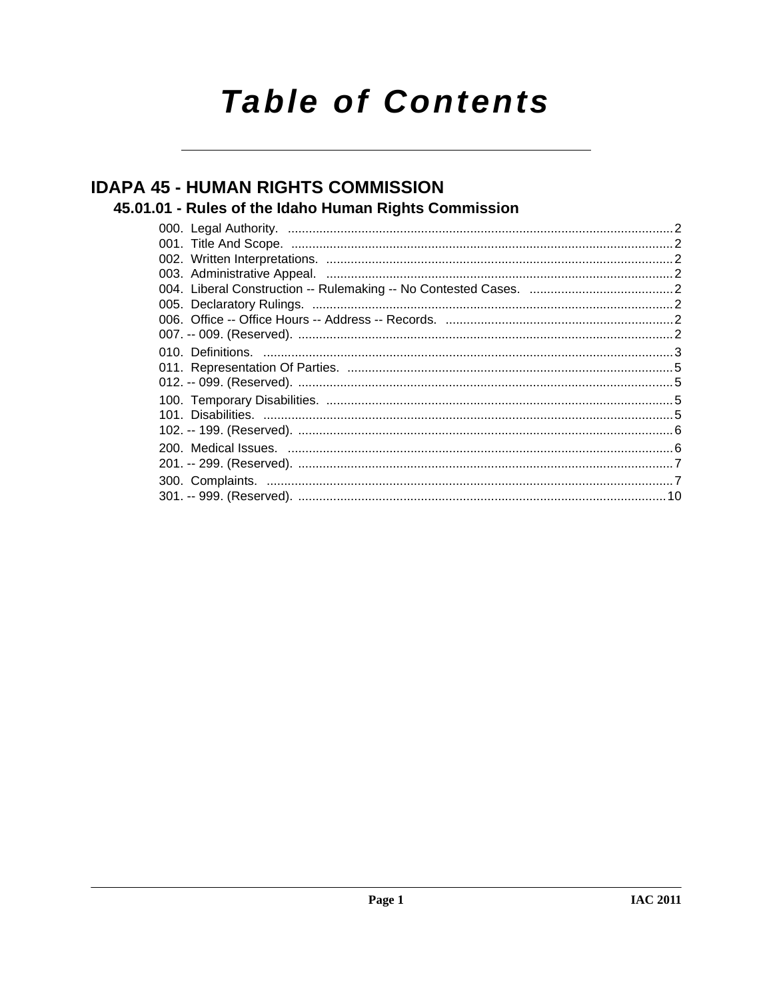# **Table of Contents**

## **IDAPA 45 - HUMAN RIGHTS COMMISSION**

### 45.01.01 - Rules of the Idaho Human Rights Commission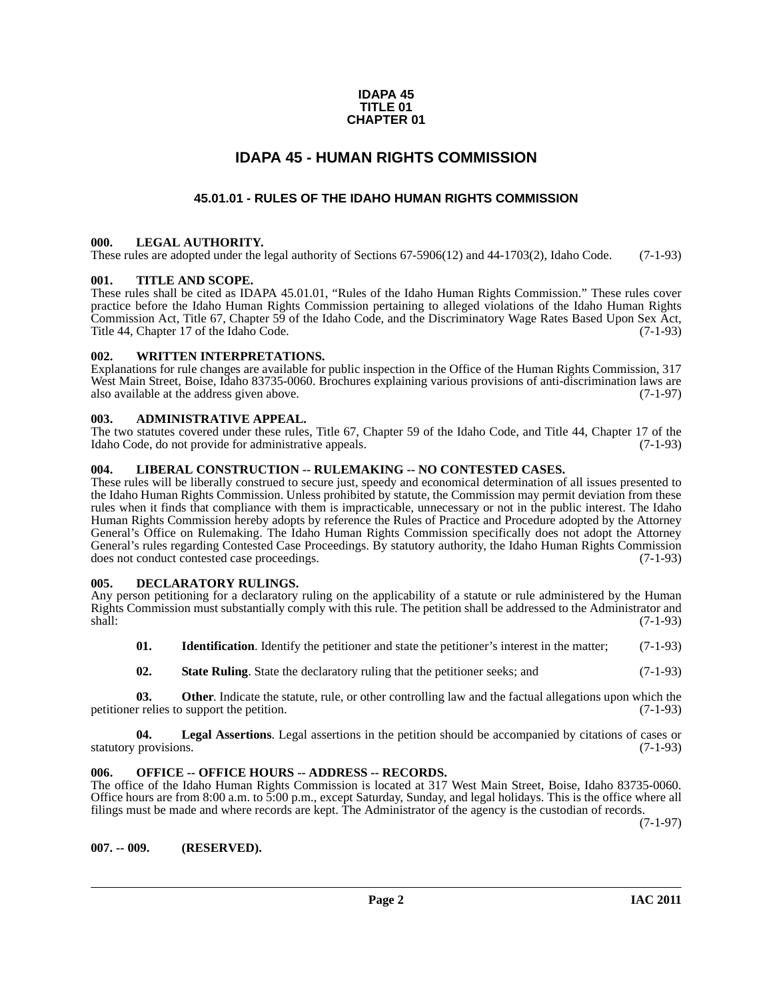#### **IDAPA 45 TITLE 01 CHAPTER 01**

### **IDAPA 45 - HUMAN RIGHTS COMMISSION**

#### **45.01.01 - RULES OF THE IDAHO HUMAN RIGHTS COMMISSION**

#### <span id="page-1-2"></span><span id="page-1-1"></span><span id="page-1-0"></span>**000. LEGAL AUTHORITY.**

These rules are adopted under the legal authority of Sections 67-5906(12) and 44-1703(2), Idaho Code. (7-1-93)

#### <span id="page-1-3"></span>**001. TITLE AND SCOPE.**

These rules shall be cited as IDAPA 45.01.01, "Rules of the Idaho Human Rights Commission." These rules cover practice before the Idaho Human Rights Commission pertaining to alleged violations of the Idaho Human Rights Commission Act, Title 67, Chapter 59 of the Idaho Code, and the Discriminatory Wage Rates Based Upon Sex Act, Title 44, Chapter 17 of the Idaho Code. (7-1-93) Title 44, Chapter 17 of the Idaho Code.

#### <span id="page-1-4"></span>**002. WRITTEN INTERPRETATIONS.**

Explanations for rule changes are available for public inspection in the Office of the Human Rights Commission, 317 West Main Street, Boise, Idaho 83735-0060. Brochures explaining various provisions of anti-discrimination laws are also available at the address given above. (7-1-97) also available at the address given above.

#### <span id="page-1-5"></span>**003. ADMINISTRATIVE APPEAL.**

The two statutes covered under these rules, Title 67, Chapter 59 of the Idaho Code, and Title 44, Chapter 17 of the Idaho Code, do not provide for administrative appeals. (7-1-93) Idaho Code, do not provide for administrative appeals.

#### <span id="page-1-6"></span>**004. LIBERAL CONSTRUCTION -- RULEMAKING -- NO CONTESTED CASES.**

These rules will be liberally construed to secure just, speedy and economical determination of all issues presented to the Idaho Human Rights Commission. Unless prohibited by statute, the Commission may permit deviation from these rules when it finds that compliance with them is impracticable, unnecessary or not in the public interest. The Idaho Human Rights Commission hereby adopts by reference the Rules of Practice and Procedure adopted by the Attorney General's Office on Rulemaking. The Idaho Human Rights Commission specifically does not adopt the Attorney General's rules regarding Contested Case Proceedings. By statutory authority, the Idaho Human Rights Commission does not conduct contested case proceedings. (7-1-93)

#### <span id="page-1-10"></span><span id="page-1-7"></span>**005. DECLARATORY RULINGS.**

Any person petitioning for a declaratory ruling on the applicability of a statute or rule administered by the Human Rights Commission must substantially comply with this rule. The petition shall be addressed to the Administrator and shall: (7-1-93)

- **01.** Identification. Identify the petitioner and state the petitioner's interest in the matter; (7-1-93)
- **02.** State Ruling. State the declaratory ruling that the petitioner seeks; and  $(7-1-93)$

**03. Other**. Indicate the statute, rule, or other controlling law and the factual allegations upon which the r relies to support the petition. (7-1-93) petitioner relies to support the petition.

**04.** Legal Assertions. Legal assertions in the petition should be accompanied by citations of cases or provisions. (7-1-93) statutory provisions.

#### <span id="page-1-8"></span>**006. OFFICE -- OFFICE HOURS -- ADDRESS -- RECORDS.**

The office of the Idaho Human Rights Commission is located at 317 West Main Street, Boise, Idaho 83735-0060. Office hours are from 8:00 a.m. to  $\overline{5:00}$  p.m., except Saturday, Sunday, and legal holidays. This is the office where all filings must be made and where records are kept. The Administrator of the agency is the custodian of records.

(7-1-97)

<span id="page-1-9"></span>**007. -- 009. (RESERVED).**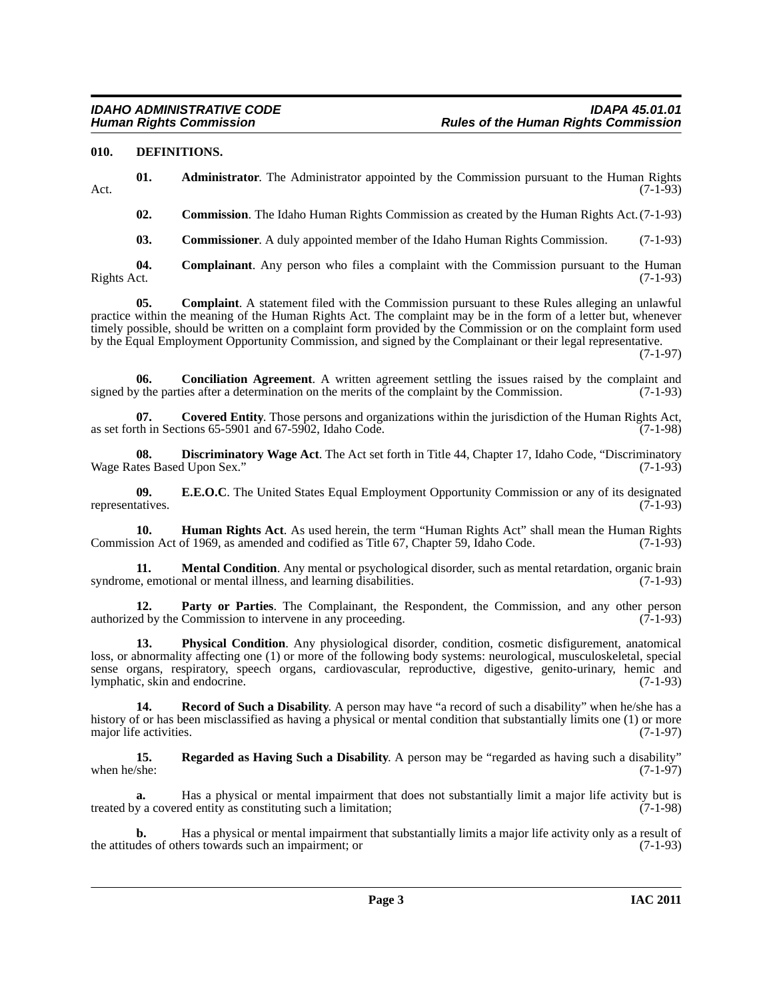#### <span id="page-2-4"></span><span id="page-2-0"></span>**010. DEFINITIONS.**

**01. Administrator**. The Administrator appointed by the Commission pursuant to the Human Rights Act. (7-1-93)

**02. Commission**. The Idaho Human Rights Commission as created by the Human Rights Act.(7-1-93)

<span id="page-2-1"></span>**03. Commissioner**. A duly appointed member of the Idaho Human Rights Commission. (7-1-93)

**04.** Complainant. Any person who files a complaint with the Commission pursuant to the Human Rights Act. (7-1-93) Rights Act. (7-1-93)

**05. Complaint**. A statement filed with the Commission pursuant to these Rules alleging an unlawful practice within the meaning of the Human Rights Act. The complaint may be in the form of a letter but, whenever timely possible, should be written on a complaint form provided by the Commission or on the complaint form used by the Equal Employment Opportunity Commission, and signed by the Complainant or their legal representative.

(7-1-97)

<span id="page-2-2"></span>**06. Conciliation Agreement**. A written agreement settling the issues raised by the complaint and v the parties after a determination on the merits of the complaint by the Commission. (7-1-93) signed by the parties after a determination on the merits of the complaint by the Commission.

<span id="page-2-3"></span>**07.** Covered Entity. Those persons and organizations within the jurisdiction of the Human Rights Act, th in Sections 65-5901 and 67-5902, Idaho Code. (7-1-98) as set forth in Sections 65-5901 and 67-5902, Idaho Code.

<span id="page-2-5"></span>**08. Discriminatory Wage Act**. The Act set forth in Title 44, Chapter 17, Idaho Code, "Discriminatory tes Based Upon Sex." (7-1-93) Wage Rates Based Upon Sex."

<span id="page-2-6"></span>**09. E.E.O.C**. The United States Equal Employment Opportunity Commission or any of its designated tatives. (7-1-93) representatives.

<span id="page-2-7"></span>**10. Human Rights Act**. As used herein, the term "Human Rights Act" shall mean the Human Rights sion Act of 1969, as amended and codified as Title 67, Chapter 59, Idaho Code. (7-1-93) Commission Act of 1969, as amended and codified as Title 67, Chapter 59, Idaho Code.

<span id="page-2-8"></span>**11. Mental Condition**. Any mental or psychological disorder, such as mental retardation, organic brain e, emotional or mental illness, and learning disabilities. (7-1-93) syndrome, emotional or mental illness, and learning disabilities.

**12. Party or Parties**. The Complainant, the Respondent, the Commission, and any other person of by the Commission to intervene in any proceeding. (7-1-93) authorized by the Commission to intervene in any proceeding.

<span id="page-2-9"></span>**13. Physical Condition**. Any physiological disorder, condition, cosmetic disfigurement, anatomical loss, or abnormality affecting one (1) or more of the following body systems: neurological, musculoskeletal, special sense organs, respiratory, speech organs, cardiovascular, reproductive, digestive, genito-urinary, hemic and lymphatic, skin and endocrine. (7-1-93)

<span id="page-2-10"></span>**14. Record of Such a Disability**. A person may have "a record of such a disability" when he/she has a history of or has been misclassified as having a physical or mental condition that substantially limits one (1) or more maior life activities. (7-1-97) major life activities.

<span id="page-2-11"></span>**15.** Regarded as Having Such a Disability. A person may be "regarded as having such a disability" when he/she: (7-1-97) when he/she:  $(7-1-97)$ 

**a.** Has a physical or mental impairment that does not substantially limit a major life activity but is treated by a covered entity as constituting such a limitation;

**b.** Has a physical or mental impairment that substantially limits a major life activity only as a result of des of others towards such an impairment; or  $(7-1-93)$ the attitudes of others towards such an impairment; or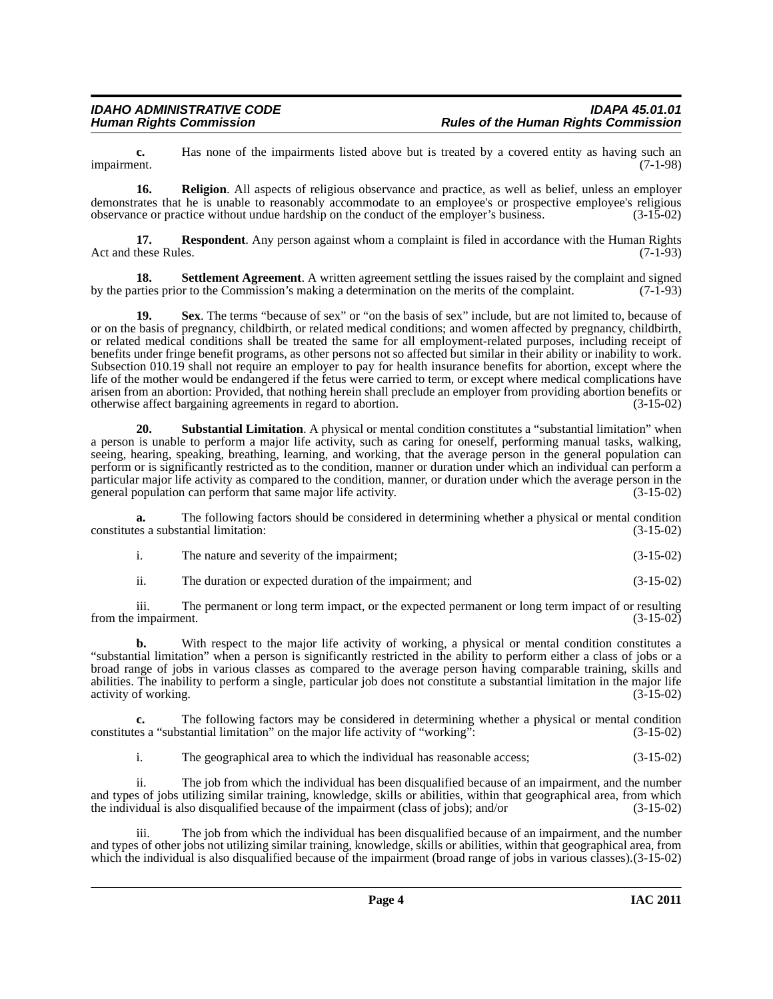**c.** Has none of the impairments listed above but is treated by a covered entity as having such an impairment. (7-1-98) impairment. (7-1-98)

<span id="page-3-0"></span>**16. Religion**. All aspects of religious observance and practice, as well as belief, unless an employer demonstrates that he is unable to reasonably accommodate to an employee's or prospective employee's religious observance or practice without undue hardship on the conduct of the employer's business. (3-15-02)

<span id="page-3-1"></span>**17. Respondent**. Any person against whom a complaint is filed in accordance with the Human Rights these Rules. (7-1-93) Act and these Rules.

<span id="page-3-2"></span>**18.** Settlement Agreement. A written agreement settling the issues raised by the complaint and signed tries prior to the Commission's making a determination on the merits of the complaint. (7-1-93) by the parties prior to the Commission's making a determination on the merits of the complaint.

<span id="page-3-3"></span>**19.** Sex. The terms "because of sex" or "on the basis of sex" include, but are not limited to, because of or on the basis of pregnancy, childbirth, or related medical conditions; and women affected by pregnancy, childbirth, or related medical conditions shall be treated the same for all employment-related purposes, including receipt of benefits under fringe benefit programs, as other persons not so affected but similar in their ability or inability to work. Subsection 010.19 shall not require an employer to pay for health insurance benefits for abortion, except where the life of the mother would be endangered if the fetus were carried to term, or except where medical complications have arisen from an abortion: Provided, that nothing herein shall preclude an employer from providing abortion benefits or otherwise affect bargaining agreements in regard to abortion. (3-15-02) otherwise affect bargaining agreements in regard to abortion.

<span id="page-3-4"></span>**20. Substantial Limitation**. A physical or mental condition constitutes a "substantial limitation" when a person is unable to perform a major life activity, such as caring for oneself, performing manual tasks, walking, seeing, hearing, speaking, breathing, learning, and working, that the average person in the general population can perform or is significantly restricted as to the condition, manner or duration under which an individual can perform a particular major life activity as compared to the condition, manner, or duration under which the average person in the general population can perform that same major life activity. (3-15-02) general population can perform that same major life activity.

**a.** The following factors should be considered in determining whether a physical or mental condition constitutes a substantial limitation: (3-15-02)

- i. The nature and severity of the impairment; (3-15-02)
- ii. The duration or expected duration of the impairment; and (3-15-02)

iii. The permanent or long term impact, or the expected permanent or long term impact of or resulting from the impairment.

**b.** With respect to the major life activity of working, a physical or mental condition constitutes a "substantial limitation" when a person is significantly restricted in the ability to perform either a class of jobs or a broad range of jobs in various classes as compared to the average person having comparable training, skills and abilities. The inability to perform a single, particular job does not constitute a substantial limitation in the major life activity of working. (3-15-02) activity of working.

**c.** The following factors may be considered in determining whether a physical or mental condition es a "substantial limitation" on the major life activity of "working": (3-15-02) constitutes a "substantial limitation" on the major life activity of "working":

i. The geographical area to which the individual has reasonable access; (3-15-02)

ii. The job from which the individual has been disqualified because of an impairment, and the number and types of jobs utilizing similar training, knowledge, skills or abilities, within that geographical area, from which the individual is also disqualified because of the impairment (class of jobs); and/or (3-15-02) the individual is also disqualified because of the impairment (class of jobs); and/or

iii. The job from which the individual has been disqualified because of an impairment, and the number and types of other jobs not utilizing similar training, knowledge, skills or abilities, within that geographical area, from which the individual is also disqualified because of the impairment (broad range of jobs in various classes).(3-15-02)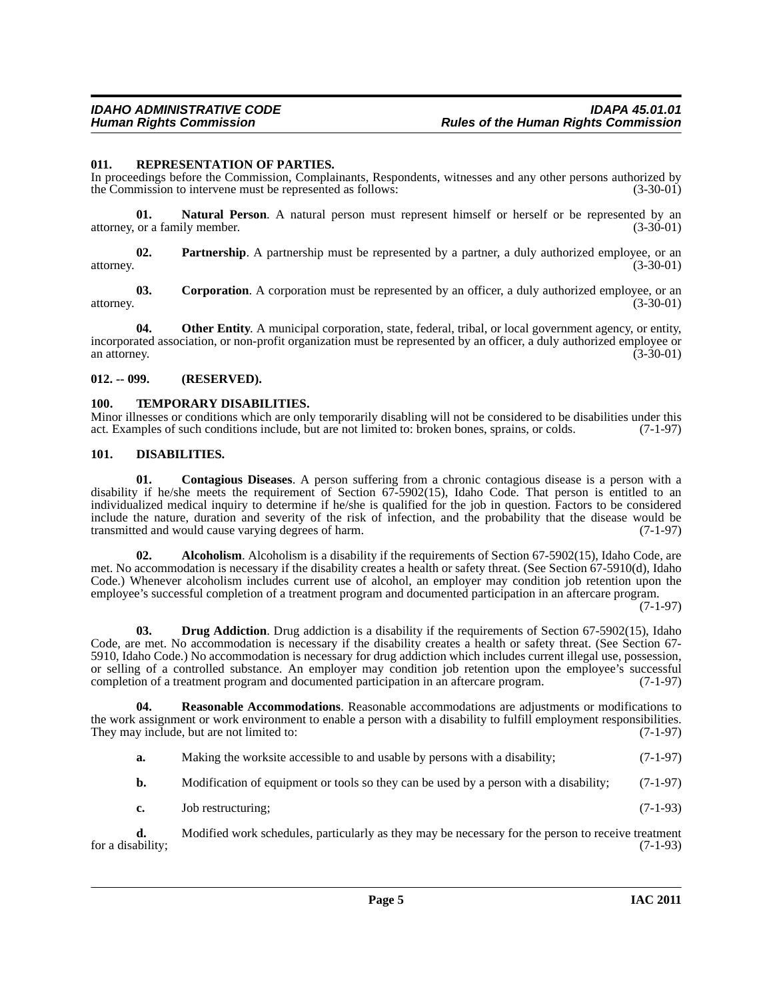#### <span id="page-4-9"></span><span id="page-4-0"></span>**011. REPRESENTATION OF PARTIES.**

In proceedings before the Commission, Complainants, Respondents, witnesses and any other persons authorized by the Commission to intervene must be represented as follows: (3-30-01) the Commission to intervene must be represented as follows:

**01. Natural Person**. A natural person must represent himself or herself or be represented by an or a family member. (3-30-01) attorney, or a family member.

**02. Partnership**. A partnership must be represented by a partner, a duly authorized employee, or an attorney. (3-30-01)

**03.** Corporation. A corporation must be represented by an officer, a duly authorized employee, or an  $(3-30-01)$ attorney. (3-30-01)

**04.** Other Entity. A municipal corporation, state, federal, tribal, or local government agency, or entity, incorporated association, or non-profit organization must be represented by an officer, a duly authorized employee or<br>(3-30-01) an attorney. (3-30-01)

#### <span id="page-4-1"></span>**012. -- 099. (RESERVED).**

#### <span id="page-4-10"></span><span id="page-4-2"></span>**100. TEMPORARY DISABILITIES.**

Minor illnesses or conditions which are only temporarily disabling will not be considered to be disabilities under this act. Examples of such conditions include, but are not limited to: broken bones, sprains, or colds. (7act. Examples of such conditions include, but are not limited to: broken bones, sprains, or colds.

#### <span id="page-4-6"></span><span id="page-4-3"></span>**101. DISABILITIES.**

<span id="page-4-5"></span>**01. Contagious Diseases**. A person suffering from a chronic contagious disease is a person with a disability if he/she meets the requirement of Section 67-5902(15), Idaho Code. That person is entitled to an individualized medical inquiry to determine if he/she is qualified for the job in question. Factors to be considered include the nature, duration and severity of the risk of infection, and the probability that the disease would be transmitted and would cause varying degrees of harm. transmitted and would cause varying degrees of harm.

<span id="page-4-4"></span>**02.** Alcoholism. Alcoholism is a disability if the requirements of Section 67-5902(15), Idaho Code, are met. No accommodation is necessary if the disability creates a health or safety threat. (See Section 67-5910(d), Idaho Code.) Whenever alcoholism includes current use of alcohol, an employer may condition job retention upon the employee's successful completion of a treatment program and documented participation in an aftercare program.

(7-1-97)

<span id="page-4-7"></span>**03. Drug Addiction**. Drug addiction is a disability if the requirements of Section 67-5902(15), Idaho Code, are met. No accommodation is necessary if the disability creates a health or safety threat. (See Section 67- 5910, Idaho Code.) No accommodation is necessary for drug addiction which includes current illegal use, possession, or selling of a controlled substance. An employer may condition job retention upon the employee's successful completion of a treatment program and documented participation in an aftercare program. (7-1-97)

**04. Reasonable Accommodations**. Reasonable accommodations are adjustments or modifications to the work assignment or work environment to enable a person with a disability to fulfill employment responsibilities.<br>They may include, but are not limited to: (7-1-97) They may include, but are not limited to:

<span id="page-4-8"></span>**a.** Making the worksite accessible to and usable by persons with a disability; (7-1-97)

**b.** Modification of equipment or tools so they can be used by a person with a disability; (7-1-97)

**c.** Job restructuring; (7-1-93)

**d.** Modified work schedules, particularly as they may be necessary for the person to receive treatment (7-1-93) for a disability;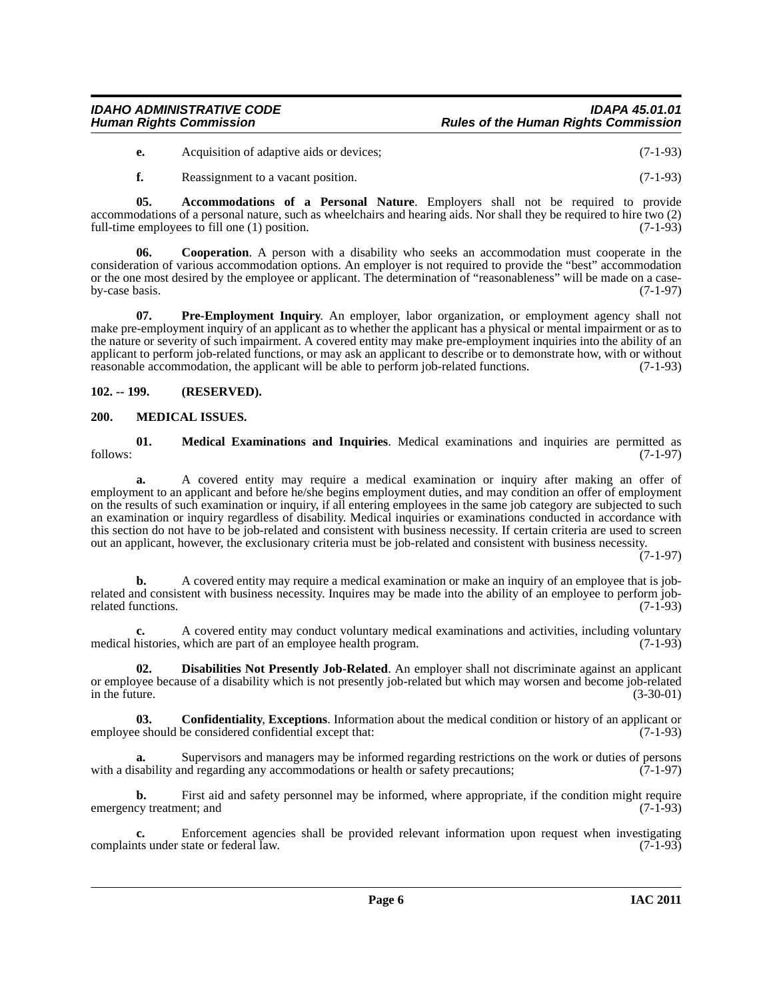#### *IDAHO ADMINISTRATIVE CODE IDAPA 45.01.01 Human Rights Commission Rules of the Human Rights Commission*

**e.** Acquisition of adaptive aids or devices; (7-1-93)

<span id="page-5-3"></span>**f.** Reassignment to a vacant position. (7-1-93)

**05. Accommodations of a Personal Nature**. Employers shall not be required to provide accommodations of a personal nature, such as wheelchairs and hearing aids. Nor shall they be required to hire two (2) full-time employees to fill one (1) position. full-time employees to fill one  $(1)$  position.

**06. Cooperation**. A person with a disability who seeks an accommodation must cooperate in the consideration of various accommodation options. An employer is not required to provide the "best" accommodation or the one most desired by the employee or applicant. The determination of "reasonableness" will be made on a case-<br>(7-1-97) by-case basis.

<span id="page-5-6"></span>**07. Pre-Employment Inquiry**. An employer, labor organization, or employment agency shall not make pre-employment inquiry of an applicant as to whether the applicant has a physical or mental impairment or as to the nature or severity of such impairment. A covered entity may make pre-employment inquiries into the ability of an applicant to perform job-related functions, or may ask an applicant to describe or to demonstrate how, with or without reasonable accommodation, the applicant will be able to perform job-related functions. (7-1-93) reasonable accommodation, the applicant will be able to perform job-related functions.

#### <span id="page-5-0"></span>**102. -- 199. (RESERVED).**

#### <span id="page-5-5"></span><span id="page-5-1"></span>**200. MEDICAL ISSUES.**

**01. Medical Examinations and Inquiries**. Medical examinations and inquiries are permitted as follows: (7-1-97)

**a.** A covered entity may require a medical examination or inquiry after making an offer of employment to an applicant and before he/she begins employment duties, and may condition an offer of employment on the results of such examination or inquiry, if all entering employees in the same job category are subjected to such an examination or inquiry regardless of disability. Medical inquiries or examinations conducted in accordance with this section do not have to be job-related and consistent with business necessity. If certain criteria are used to screen out an applicant, however, the exclusionary criteria must be job-related and consistent with business necessity.

(7-1-97)

**b.** A covered entity may require a medical examination or make an inquiry of an employee that is jobrelated and consistent with business necessity. Inquires may be made into the ability of an employee to perform job-<br>related functions. (7-1-93) related functions.

**c.** A covered entity may conduct voluntary medical examinations and activities, including voluntary histories, which are part of an employee health program. (7-1-93) medical histories, which are part of an employee health program.

<span id="page-5-4"></span>**02. Disabilities Not Presently Job-Related**. An employer shall not discriminate against an applicant or employee because of a disability which is not presently job-related but which may worsen and become job-related<br>(3-30-01)<br>(3-30-01) in the future.  $(3-30-01)$ 

<span id="page-5-2"></span>**03. Confidentiality, Exceptions**. Information about the medical condition or history of an applicant or e should be considered confidential except that: (7-1-93) employee should be considered confidential except that:

**a.** Supervisors and managers may be informed regarding restrictions on the work or duties of persons sability and regarding any accommodations or health or safety precautions: (7-1-97) with a disability and regarding any accommodations or health or safety precautions;

**b.** First aid and safety personnel may be informed, where appropriate, if the condition might require cy treatment; and (7-1-93) emergency treatment; and

**c.** Enforcement agencies shall be provided relevant information upon request when investigating its under state or federal law. (7-1-93) complaints under state or federal law.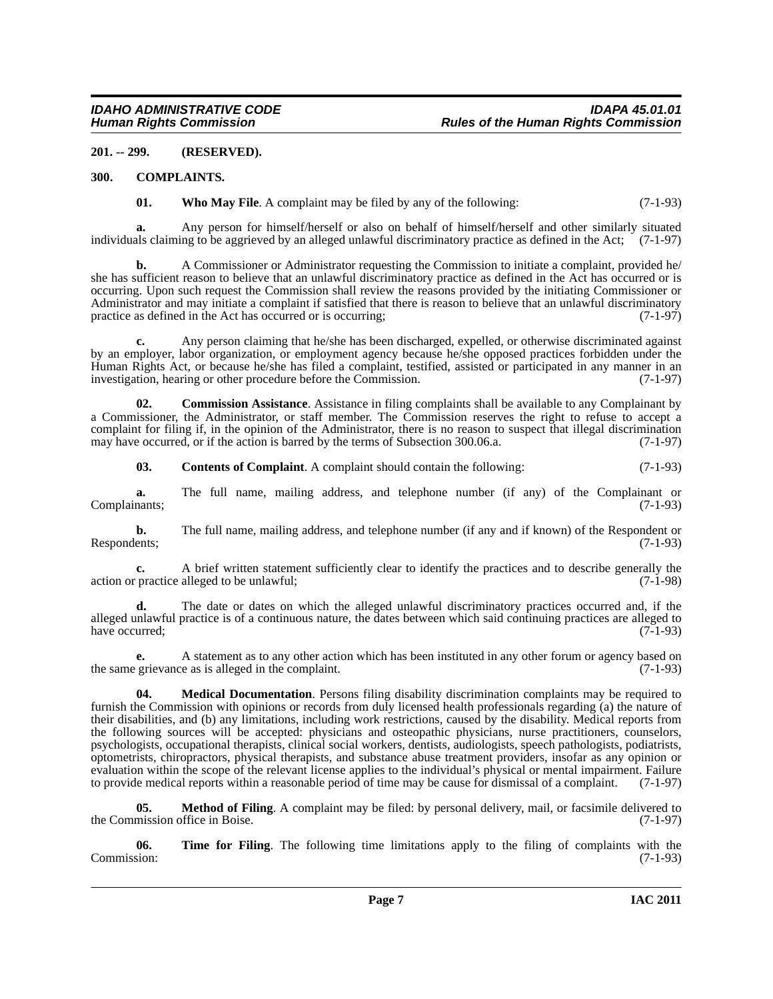#### <span id="page-6-0"></span>**201. -- 299. (RESERVED).**

#### <span id="page-6-1"></span>**300. COMPLAINTS.**

<span id="page-6-8"></span><span id="page-6-3"></span>**01.** Who May File. A complaint may be filed by any of the following: (7-1-93)

**a.** Any person for himself/herself or also on behalf of himself/herself and other similarly situated individuals claiming to be aggrieved by an alleged unlawful discriminatory practice as defined in the Act; (7-1-97)

**b.** A Commissioner or Administrator requesting the Commission to initiate a complaint, provided he/ she has sufficient reason to believe that an unlawful discriminatory practice as defined in the Act has occurred or is occurring. Upon such request the Commission shall review the reasons provided by the initiating Commissioner or Administrator and may initiate a complaint if satisfied that there is reason to believe that an unlawful discriminatory practice as defined in the Act has occurred or is occurring: practice as defined in the Act has occurred or is occurring;

**c.** Any person claiming that he/she has been discharged, expelled, or otherwise discriminated against by an employer, labor organization, or employment agency because he/she opposed practices forbidden under the Human Rights Act, or because he/she has filed a complaint, testified, assisted or participated in any manner in an investigation, hearing or other procedure before the Commission. (7-1-97)

**02. Commission Assistance**. Assistance in filing complaints shall be available to any Complainant by a Commissioner, the Administrator, or staff member. The Commission reserves the right to refuse to accept a complaint for filing if, in the opinion of the Administrator, there is no reason to suspect that illegal discrimination may have occurred, or if the action is barred by the terms of Subsection 300.06.a. (7-1-97) may have occurred, or if the action is barred by the terms of Subsection 300.06.a.

<span id="page-6-4"></span><span id="page-6-2"></span>**03. Contents of Complaint**. A complaint should contain the following: (7-1-93)

**a.** The full name, mailing address, and telephone number (if any) of the Complainant or (7-1-93) Complainants;

**b.** The full name, mailing address, and telephone number (if any and if known) of the Respondent or Respondents; (7-1-93) Respondents; (7-1-93)

**c.** A brief written statement sufficiently clear to identify the practices and to describe generally the practice alleged to be unlawful; (7-1-98) action or practice alleged to be unlawful;

**d.** The date or dates on which the alleged unlawful discriminatory practices occurred and, if the alleged unlawful practice is of a continuous nature, the dates between which said continuing practices are alleged to have occurred; (7-1-93)

**e.** A statement as to any other action which has been instituted in any other forum or agency based on grievance as is alleged in the complaint. (7-1-93) the same grievance as is alleged in the complaint.

<span id="page-6-5"></span>**04. Medical Documentation**. Persons filing disability discrimination complaints may be required to furnish the Commission with opinions or records from duly licensed health professionals regarding (a) the nature of their disabilities, and (b) any limitations, including work restrictions, caused by the disability. Medical reports from the following sources will be accepted: physicians and osteopathic physicians, nurse practitioners, counselors, psychologists, occupational therapists, clinical social workers, dentists, audiologists, speech pathologists, podiatrists, optometrists, chiropractors, physical therapists, and substance abuse treatment providers, insofar as any opinion or evaluation within the scope of the relevant license applies to the individual's physical or mental impairment. Failure to provide medical reports within a reasonable period of time may be cause for dismissal of a complaint to provide medical reports within a reasonable period of time may be cause for dismissal of a complaint.

<span id="page-6-6"></span>**05. Method of Filing**. A complaint may be filed: by personal delivery, mail, or facsimile delivered to mission office in Boise. (7-1-97) the Commission office in Boise.

<span id="page-6-7"></span>**06. Time for Filing**. The following time limitations apply to the filing of complaints with the sion: (7-1-93) Commission: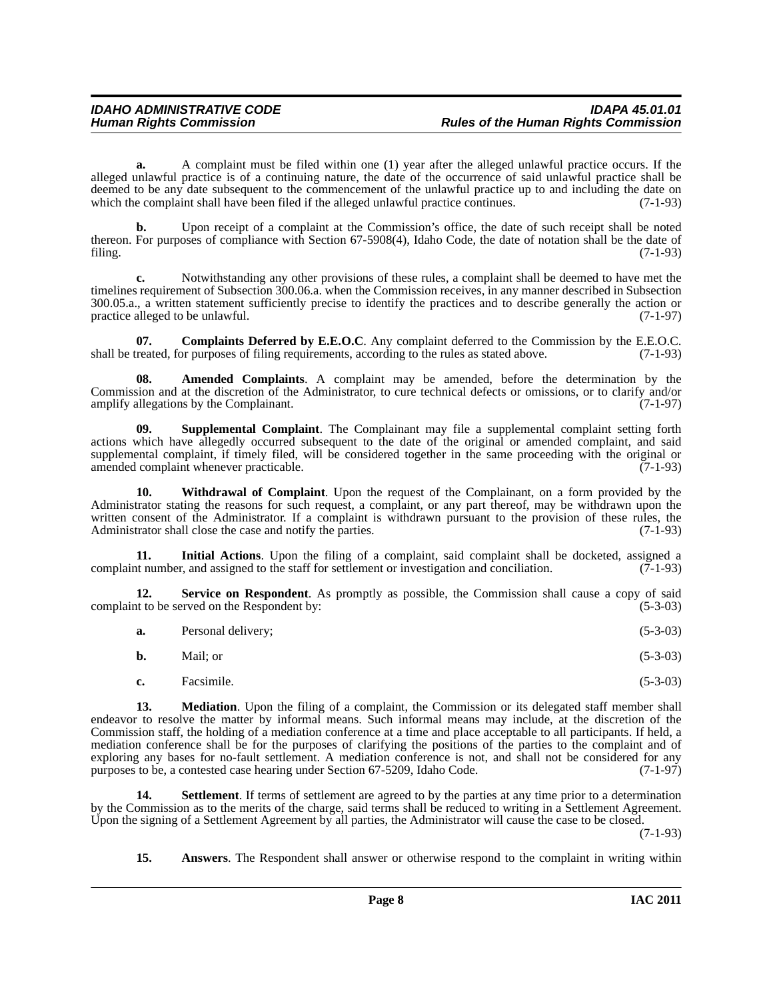**a.** A complaint must be filed within one (1) year after the alleged unlawful practice occurs. If the alleged unlawful practice is of a continuing nature, the date of the occurrence of said unlawful practice shall be deemed to be any date subsequent to the commencement of the unlawful practice up to and including the date on which the complaint shall have been filed if the alleged unlawful practice continues. (7-1-93)

**b.** Upon receipt of a complaint at the Commission's office, the date of such receipt shall be noted thereon. For purposes of compliance with Section 67-5908(4), Idaho Code, the date of notation shall be the date of filing. (7-1-93) filing.  $(7-1-93)$ 

**c.** Notwithstanding any other provisions of these rules, a complaint shall be deemed to have met the timelines requirement of Subsection 300.06.a. when the Commission receives, in any manner described in Subsection 300.05.a., a written statement sufficiently precise to identify the practices and to describe generally the action or practice alleged to be unlawful.  $(7-1-97)$ practice alleged to be unlawful.

<span id="page-7-2"></span>**07.** Complaints Deferred by E.E.O.C. Any complaint deferred to the Commission by the E.E.O.C. treated, for purposes of filing requirements, according to the rules as stated above. (7-1-93) shall be treated, for purposes of filing requirements, according to the rules as stated above.

<span id="page-7-0"></span>**08. Amended Complaints**. A complaint may be amended, before the determination by the Commission and at the discretion of the Administrator, to cure technical defects or omissions, or to clarify and/or amplify allegations by the Complainant. (7-1-97) amplify allegations by the Complainant.

<span id="page-7-7"></span>**09. Supplemental Complaint**. The Complainant may file a supplemental complaint setting forth actions which have allegedly occurred subsequent to the date of the original or amended complaint, and said supplemental complaint, if timely filed, will be considered together in the same proceeding with the original or<br>(7-1-93) (7-1-93) amended complaint whenever practicable.

<span id="page-7-8"></span>**10. Withdrawal of Complaint**. Upon the request of the Complainant, on a form provided by the Administrator stating the reasons for such request, a complaint, or any part thereof, may be withdrawn upon the written consent of the Administrator. If a complaint is withdrawn pursuant to the provision of these rules, the Administrator shall close the case and notify the parties. (7-1-93) Administrator shall close the case and notify the parties.

<span id="page-7-3"></span>**11. Initial Actions**. Upon the filing of a complaint, said complaint shall be docketed, assigned a complaint number, and assigned to the staff for settlement or investigation and conciliation. (7-1-93)

**12. Service on Respondent**. As promptly as possible, the Commission shall cause a copy of said at to be served on the Respondent by: (5-3-03) complaint to be served on the Respondent by:

<span id="page-7-5"></span>

| a. | Personal delivery; | $(5-3-03)$ |
|----|--------------------|------------|
|----|--------------------|------------|

| <b>b.</b><br>Mail; or | $(5-3-03)$ |
|-----------------------|------------|
|-----------------------|------------|

<span id="page-7-4"></span>**c.** Facsimile. (5-3-03)

**13.** Mediation. Upon the filing of a complaint, the Commission or its delegated staff member shall endeavor to resolve the matter by informal means. Such informal means may include, at the discretion of the Commission staff, the holding of a mediation conference at a time and place acceptable to all participants. If held, a mediation conference shall be for the purposes of clarifying the positions of the parties to the complaint and of exploring any bases for no-fault settlement. A mediation conference is not, and shall not be considered for any purposes to be, a contested case hearing under Section 67-5209, Idaho Code. (7-1-97) purposes to be, a contested case hearing under Section 67-5209, Idaho Code.

**Settlement**. If terms of settlement are agreed to by the parties at any time prior to a determination by the Commission as to the merits of the charge, said terms shall be reduced to writing in a Settlement Agreement. Upon the signing of a Settlement Agreement by all parties, the Administrator will cause the case to be closed.

(7-1-93)

<span id="page-7-6"></span><span id="page-7-1"></span>**15. Answers**. The Respondent shall answer or otherwise respond to the complaint in writing within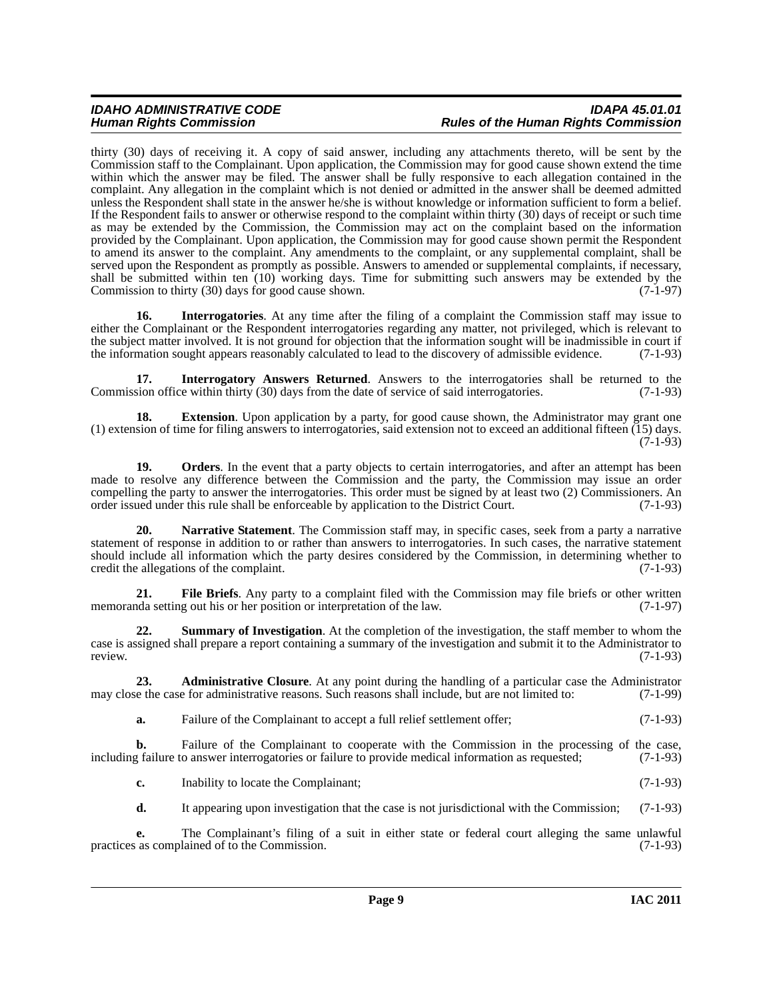thirty (30) days of receiving it. A copy of said answer, including any attachments thereto, will be sent by the Commission staff to the Complainant. Upon application, the Commission may for good cause shown extend the time within which the answer may be filed. The answer shall be fully responsive to each allegation contained in the complaint. Any allegation in the complaint which is not denied or admitted in the answer shall be deemed admitted unless the Respondent shall state in the answer he/she is without knowledge or information sufficient to form a belief. If the Respondent fails to answer or otherwise respond to the complaint within thirty (30) days of receipt or such time as may be extended by the Commission, the Commission may act on the complaint based on the information provided by the Complainant. Upon application, the Commission may for good cause shown permit the Respondent to amend its answer to the complaint. Any amendments to the complaint, or any supplemental complaint, shall be served upon the Respondent as promptly as possible. Answers to amended or supplemental complaints, if necessary, shall be submitted within ten (10) working days. Time for submitting such answers may be extended by the Commission to thirty (30) days for good cause shown. (7-1-97) Commission to thirty  $(30)$  days for good cause shown.

<span id="page-8-2"></span>**16.** Interrogatories. At any time after the filing of a complaint the Commission staff may issue to either the Complainant or the Respondent interrogatories regarding any matter, not privileged, which is relevant to the subject matter involved. It is not ground for objection that the information sought will be inadmissible in court if the information sought appears reasonably calculated to lead to the discovery of admissible evidence. the information sought appears reasonably calculated to lead to the discovery of admissible evidence.

<span id="page-8-3"></span>**17. Interrogatory Answers Returned**. Answers to the interrogatories shall be returned to the ison office within thirty (30) days from the date of service of said interrogatories. (7-1-93) Commission office within thirty  $(30)$  days from the date of service of said interrogatories.

<span id="page-8-1"></span>**18.** Extension. Upon application by a party, for good cause shown, the Administrator may grant one (1) extension of time for filing answers to interrogatories, said extension not to exceed an additional fifteen (15) days. (7-1-93)

<span id="page-8-5"></span>**19.** Orders. In the event that a party objects to certain interrogatories, and after an attempt has been made to resolve any difference between the Commission and the party, the Commission may issue an order compelling the party to answer the interrogatories. This order must be signed by at least two (2) Commissioners. An order issued under this rule shall be enforceable by application to the District Court. (7-1-93) order issued under this rule shall be enforceable by application to the District Court.

<span id="page-8-4"></span>**20. Narrative Statement**. The Commission staff may, in specific cases, seek from a party a narrative statement of response in addition to or rather than answers to interrogatories. In such cases, the narrative statement should include all information which the party desires considered by the Commission, in determining whether to credit the allegations of the complaint. (7-1-93)

**21.** File Briefs. Any party to a complaint filed with the Commission may file briefs or other written da setting out his or her position or interpretation of the law. (7-1-97) memoranda setting out his or her position or interpretation of the law.

<span id="page-8-6"></span>**22. Summary of Investigation**. At the completion of the investigation, the staff member to whom the case is assigned shall prepare a report containing a summary of the investigation and submit it to the Administrator to review. review. (7-1-93)

**23. Administrative Closure**. At any point during the handling of a particular case the Administrator e the case for administrative reasons. Such reasons shall include, but are not limited to: (7-1-99) may close the case for administrative reasons. Such reasons shall include, but are not limited to:

<span id="page-8-0"></span>**a.** Failure of the Complainant to accept a full relief settlement offer; (7-1-93)

**b.** Failure of the Complainant to cooperate with the Commission in the processing of the case, railure to answer interrogatories or failure to provide medical information as requested; (7-1-93) including failure to answer interrogatories or failure to provide medical information as requested;

**c.** Inability to locate the Complainant; (7-1-93)

**d.** It appearing upon investigation that the case is not jurisdictional with the Commission; (7-1-93)

**e.** The Complainant's filing of a suit in either state or federal court alleging the same unlawful as complained of to the Commission. (7-1-93) practices as complained of to the Commission.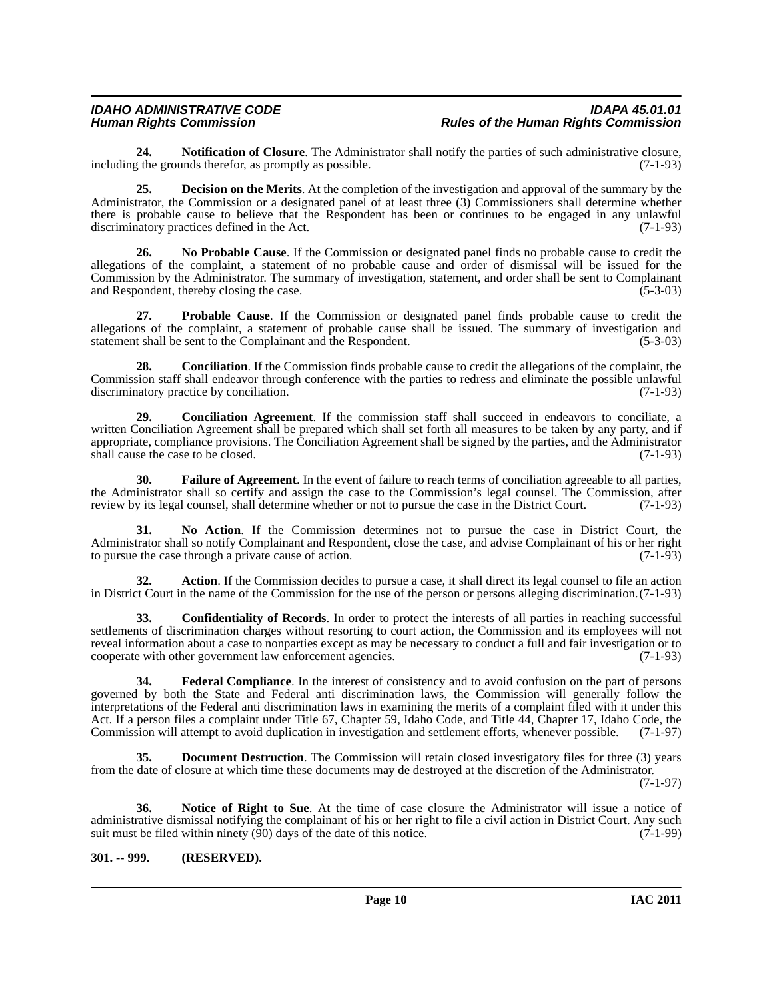## *IDAHO ADMINISTRATIVE CODE IDAPA 45.01.01*

**24. Notification of Closure**. The Administrator shall notify the parties of such administrative closure,  $\alpha$  the grounds therefor, as promptly as possible. (7-1-93) including the grounds therefor, as promptly as possible.

<span id="page-9-2"></span>**25. Decision on the Merits**. At the completion of the investigation and approval of the summary by the Administrator, the Commission or a designated panel of at least three (3) Commissioners shall determine whether there is probable cause to believe that the Respondent has been or continues to be engaged in any unlawful discriminatory practices defined in the Act. (7-1-93) discriminatory practices defined in the Act.

**26. No Probable Cause**. If the Commission or designated panel finds no probable cause to credit the allegations of the complaint, a statement of no probable cause and order of dismissal will be issued for the Commission by the Administrator. The summary of investigation, statement, and order shall be sent to Complainant and Respondent, thereby closing the case. (5-3-03) and Respondent, thereby closing the case.

**27. Probable Cause**. If the Commission or designated panel finds probable cause to credit the allegations of the complaint, a statement of probable cause shall be issued. The summary of investigation and statement shall be sent to the Complainant and the Respondent. (5-3-03) statement shall be sent to the Complainant and the Respondent.

**28. Conciliation**. If the Commission finds probable cause to credit the allegations of the complaint, the Commission staff shall endeavor through conference with the parties to redress and eliminate the possible unlawful discriminatory practice by conciliation. (7-1-93) discriminatory practice by conciliation.

**29. Conciliation Agreement**. If the commission staff shall succeed in endeavors to conciliate, a written Conciliation Agreement shall be prepared which shall set forth all measures to be taken by any party, and if appropriate, compliance provisions. The Conciliation Agreement shall be signed by the parties, and the Administrator shall cause the case to be closed. (7-1-93)

<span id="page-9-4"></span>**30. Failure of Agreement**. In the event of failure to reach terms of conciliation agreeable to all parties, the Administrator shall so certify and assign the case to the Commission's legal counsel. The Commission, after<br>review by its legal counsel, shall determine whether or not to pursue the case in the District Court. (7-1-93) review by its legal counsel, shall determine whether or not to pursue the case in the District Court.

**31. No Action**. If the Commission determines not to pursue the case in District Court, the Administrator shall so notify Complainant and Respondent, close the case, and advise Complainant of his or her right to pursue the case through a private cause of action. (7-1-93) to pursue the case through a private cause of action.

**32. Action**. If the Commission decides to pursue a case, it shall direct its legal counsel to file an action in District Court in the name of the Commission for the use of the person or persons alleging discrimination.(7-1-93)

<span id="page-9-1"></span>**33. Confidentiality of Records**. In order to protect the interests of all parties in reaching successful settlements of discrimination charges without resorting to court action, the Commission and its employees will not reveal information about a case to nonparties except as may be necessary to conduct a full and fair investigation or to cooperate with other government law enforcement agencies. (7-1-93) cooperate with other government law enforcement agencies.

<span id="page-9-5"></span>**34. Federal Compliance**. In the interest of consistency and to avoid confusion on the part of persons governed by both the State and Federal anti discrimination laws, the Commission will generally follow the interpretations of the Federal anti discrimination laws in examining the merits of a complaint filed with it under this Act. If a person files a complaint under Title 67, Chapter 59, Idaho Code, and Title 44, Chapter 17, Idaho Code, the Commission will attempt to avoid duplication in investigation and settlement efforts, whenever possible. Commission will attempt to avoid duplication in investigation and settlement efforts, whenever possible.

<span id="page-9-3"></span>**35. Document Destruction**. The Commission will retain closed investigatory files for three (3) years from the date of closure at which time these documents may de destroyed at the discretion of the Administrator.

(7-1-97)

<span id="page-9-6"></span>**36. Notice of Right to Sue**. At the time of case closure the Administrator will issue a notice of administrative dismissal notifying the complainant of his or her right to file a civil action in District Court. Any such suit must be filed within ninety (90) days of the date of this notice. (7-1-99) suit must be filed within ninety  $(90)$  days of the date of this notice.

#### <span id="page-9-0"></span>**301. -- 999. (RESERVED).**